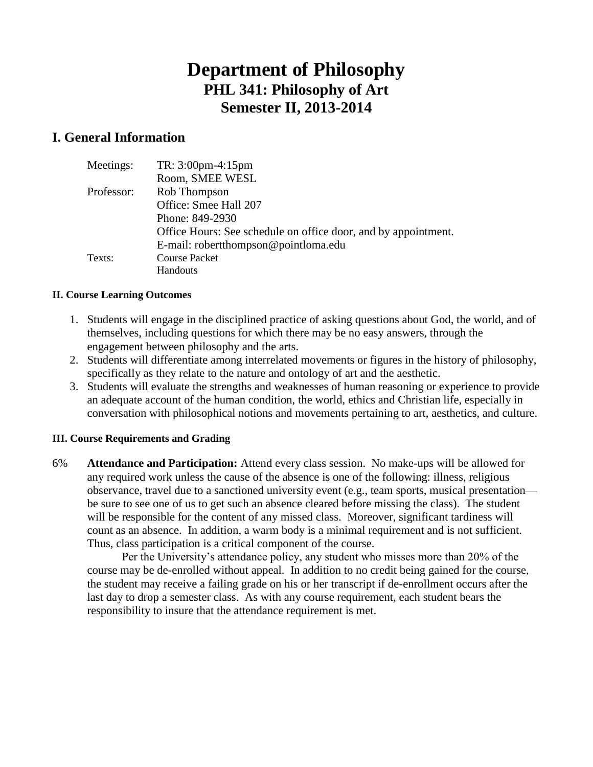# **Department of Philosophy PHL 341: Philosophy of Art Semester II, 2013-2014**

### **I. General Information**

| Meetings:  | $TR: 3:00 \text{pm} - 4:15 \text{pm}$                          |
|------------|----------------------------------------------------------------|
|            | Room, SMEE WESL                                                |
| Professor: | Rob Thompson                                                   |
|            | Office: Smee Hall 207                                          |
|            | Phone: 849-2930                                                |
|            | Office Hours: See schedule on office door, and by appointment. |
|            | E-mail: robertthompson@pointloma.edu                           |
| Texts:     | <b>Course Packet</b>                                           |
|            | Handouts                                                       |

#### **II. Course Learning Outcomes**

- 1. Students will engage in the disciplined practice of asking questions about God, the world, and of themselves, including questions for which there may be no easy answers, through the engagement between philosophy and the arts.
- 2. Students will differentiate among interrelated movements or figures in the history of philosophy, specifically as they relate to the nature and ontology of art and the aesthetic.
- 3. Students will evaluate the strengths and weaknesses of human reasoning or experience to provide an adequate account of the human condition, the world, ethics and Christian life, especially in conversation with philosophical notions and movements pertaining to art, aesthetics, and culture.

#### **III. Course Requirements and Grading**

6% **Attendance and Participation:** Attend every class session. No make-ups will be allowed for any required work unless the cause of the absence is one of the following: illness, religious observance, travel due to a sanctioned university event (e.g., team sports, musical presentation be sure to see one of us to get such an absence cleared before missing the class). The student will be responsible for the content of any missed class. Moreover, significant tardiness will count as an absence. In addition, a warm body is a minimal requirement and is not sufficient. Thus, class participation is a critical component of the course.

Per the University's attendance policy, any student who misses more than 20% of the course may be de-enrolled without appeal. In addition to no credit being gained for the course, the student may receive a failing grade on his or her transcript if de-enrollment occurs after the last day to drop a semester class. As with any course requirement, each student bears the responsibility to insure that the attendance requirement is met.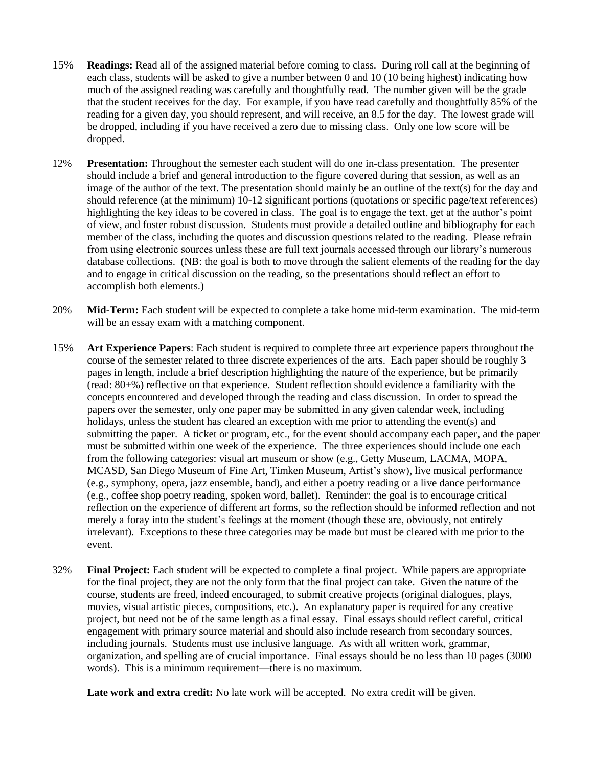- 15% **Readings:** Read all of the assigned material before coming to class. During roll call at the beginning of each class, students will be asked to give a number between 0 and 10 (10 being highest) indicating how much of the assigned reading was carefully and thoughtfully read. The number given will be the grade that the student receives for the day. For example, if you have read carefully and thoughtfully 85% of the reading for a given day, you should represent, and will receive, an 8.5 for the day. The lowest grade will be dropped, including if you have received a zero due to missing class. Only one low score will be dropped.
- 12% **Presentation:** Throughout the semester each student will do one in-class presentation. The presenter should include a brief and general introduction to the figure covered during that session, as well as an image of the author of the text. The presentation should mainly be an outline of the text(s) for the day and should reference (at the minimum) 10-12 significant portions (quotations or specific page/text references) highlighting the key ideas to be covered in class. The goal is to engage the text, get at the author's point of view, and foster robust discussion. Students must provide a detailed outline and bibliography for each member of the class, including the quotes and discussion questions related to the reading. Please refrain from using electronic sources unless these are full text journals accessed through our library's numerous database collections. (NB: the goal is both to move through the salient elements of the reading for the day and to engage in critical discussion on the reading, so the presentations should reflect an effort to accomplish both elements.)
- 20% **Mid-Term:** Each student will be expected to complete a take home mid-term examination. The mid-term will be an essay exam with a matching component.
- 15% **Art Experience Papers**: Each student is required to complete three art experience papers throughout the course of the semester related to three discrete experiences of the arts. Each paper should be roughly 3 pages in length, include a brief description highlighting the nature of the experience, but be primarily (read: 80+%) reflective on that experience. Student reflection should evidence a familiarity with the concepts encountered and developed through the reading and class discussion. In order to spread the papers over the semester, only one paper may be submitted in any given calendar week, including holidays, unless the student has cleared an exception with me prior to attending the event(s) and submitting the paper. A ticket or program, etc., for the event should accompany each paper, and the paper must be submitted within one week of the experience. The three experiences should include one each from the following categories: visual art museum or show (e.g., Getty Museum, LACMA, MOPA, MCASD, San Diego Museum of Fine Art, Timken Museum, Artist's show), live musical performance (e.g., symphony, opera, jazz ensemble, band), and either a poetry reading or a live dance performance (e.g., coffee shop poetry reading, spoken word, ballet). Reminder: the goal is to encourage critical reflection on the experience of different art forms, so the reflection should be informed reflection and not merely a foray into the student's feelings at the moment (though these are, obviously, not entirely irrelevant). Exceptions to these three categories may be made but must be cleared with me prior to the event.
- 32% **Final Project:** Each student will be expected to complete a final project. While papers are appropriate for the final project, they are not the only form that the final project can take. Given the nature of the course, students are freed, indeed encouraged, to submit creative projects (original dialogues, plays, movies, visual artistic pieces, compositions, etc.). An explanatory paper is required for any creative project, but need not be of the same length as a final essay. Final essays should reflect careful, critical engagement with primary source material and should also include research from secondary sources, including journals. Students must use inclusive language. As with all written work, grammar, organization, and spelling are of crucial importance. Final essays should be no less than 10 pages (3000 words). This is a minimum requirement—there is no maximum.

Late work and extra credit: No late work will be accepted. No extra credit will be given.